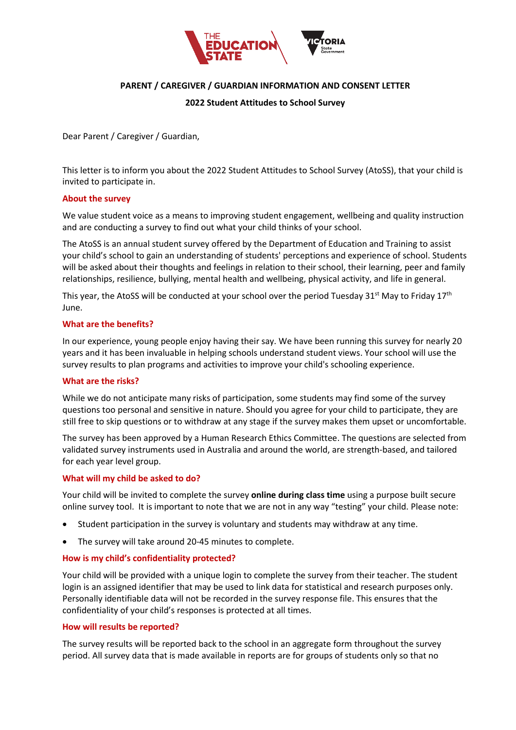

# **PARENT / CAREGIVER / GUARDIAN INFORMATION AND CONSENT LETTER**

## **2022 Student Attitudes to School Survey**

Dear Parent / Caregiver / Guardian,

This letter is to inform you about the 2022 Student Attitudes to School Survey (AtoSS), that your child is invited to participate in.

### **About the survey**

We value student voice as a means to improving student engagement, wellbeing and quality instruction and are conducting a survey to find out what your child thinks of your school.

The AtoSS is an annual student survey offered by the Department of Education and Training to assist your child's school to gain an understanding of students' perceptions and experience of school. Students will be asked about their thoughts and feelings in relation to their school, their learning, peer and family relationships, resilience, bullying, mental health and wellbeing, physical activity, and life in general.

This year, the AtoSS will be conducted at your school over the period Tuesday 31st May to Friday 17<sup>th</sup> June.

### **What are the benefits?**

In our experience, young people enjoy having their say. We have been running this survey for nearly 20 years and it has been invaluable in helping schools understand student views. Your school will use the survey results to plan programs and activities to improve your child's schooling experience.

#### **What are the risks?**

While we do not anticipate many risks of participation, some students may find some of the survey questions too personal and sensitive in nature. Should you agree for your child to participate, they are still free to skip questions or to withdraw at any stage if the survey makes them upset or uncomfortable.

The survey has been approved by a Human Research Ethics Committee. The questions are selected from validated survey instruments used in Australia and around the world, are strength-based, and tailored for each year level group.

#### **What will my child be asked to do?**

Your child will be invited to complete the survey **online during class time** using a purpose built secure online survey tool. It is important to note that we are not in any way "testing" your child. Please note:

- Student participation in the survey is voluntary and students may withdraw at any time.
- The survey will take around 20-45 minutes to complete.

## **How is my child's confidentiality protected?**

Your child will be provided with a unique login to complete the survey from their teacher. The student login is an assigned identifier that may be used to link data for statistical and research purposes only. Personally identifiable data will not be recorded in the survey response file. This ensures that the confidentiality of your child's responses is protected at all times.

#### **How will results be reported?**

The survey results will be reported back to the school in an aggregate form throughout the survey period. All survey data that is made available in reports are for groups of students only so that no